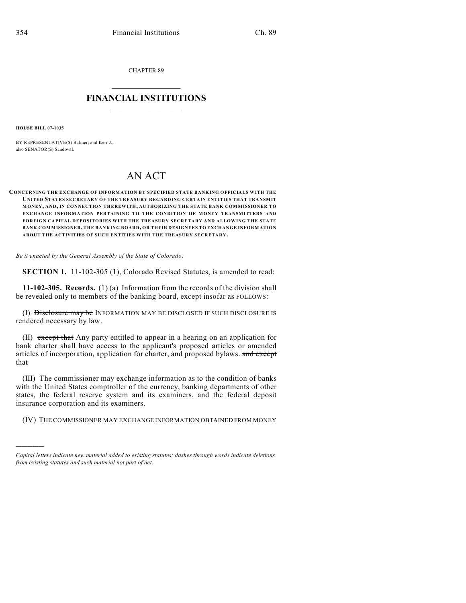CHAPTER 89

## $\mathcal{L}_\text{max}$  . The set of the set of the set of the set of the set of the set of the set of the set of the set of the set of the set of the set of the set of the set of the set of the set of the set of the set of the set **FINANCIAL INSTITUTIONS**  $\frac{1}{2}$  ,  $\frac{1}{2}$  ,  $\frac{1}{2}$  ,  $\frac{1}{2}$  ,  $\frac{1}{2}$  ,  $\frac{1}{2}$  ,  $\frac{1}{2}$

**HOUSE BILL 07-1035**

)))))

BY REPRESENTATIVE(S) Balmer, and Kerr J.; also SENATOR(S) Sandoval.

## AN ACT

## **CONCERNING THE EXCHANGE OF INFORMATION BY SPECIFIED STATE BANKING OFFICIALS WITH THE UNITED STATES SECRETARY OF THE TREASURY REGARDING CERTAIN ENTITIES THAT TRANSMIT MONEY, AND, IN CONNECTION THEREWITH, AUTHORIZING THE STATE BANK COMMISSIONER TO EXCHANGE INFORM ATION PERTAINING TO THE CONDITION OF MONEY TRANSMITTERS AND FOREIGN CAPITAL DEPOSITORIES WITH THE TREASURY SECRETARY AND ALLOWING THE STATE BANK COMMISSIONER, THE BANKING BOARD, OR THEIR DESIGNEES TO EXCHANGE INFORMATION ABOUT THE ACTIVITIES OF SUCH ENTITIES WITH THE TREASURY SECRETARY.**

*Be it enacted by the General Assembly of the State of Colorado:*

**SECTION 1.** 11-102-305 (1), Colorado Revised Statutes, is amended to read:

**11-102-305. Records.** (1) (a) Information from the records of the division shall be revealed only to members of the banking board, except insofar as FOLLOWS:

(I) Disclosure may be INFORMATION MAY BE DISCLOSED IF SUCH DISCLOSURE IS rendered necessary by law.

(II) except that Any party entitled to appear in a hearing on an application for bank charter shall have access to the applicant's proposed articles or amended articles of incorporation, application for charter, and proposed bylaws. and except that

(III) The commissioner may exchange information as to the condition of banks with the United States comptroller of the currency, banking departments of other states, the federal reserve system and its examiners, and the federal deposit insurance corporation and its examiners.

(IV) THE COMMISSIONER MAY EXCHANGE INFORMATION OBTAINED FROM MONEY

*Capital letters indicate new material added to existing statutes; dashes through words indicate deletions from existing statutes and such material not part of act.*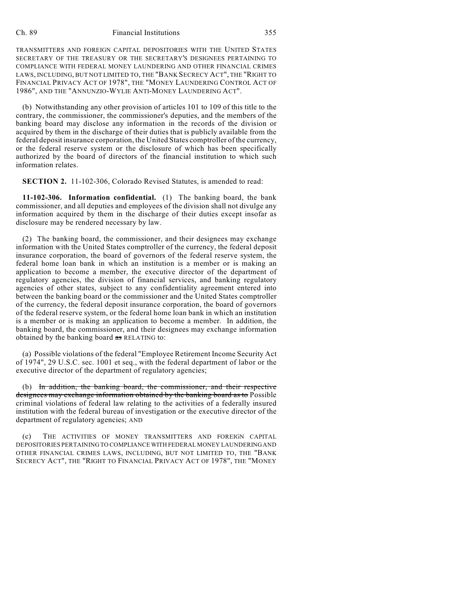## Ch. 89 Financial Institutions 355

TRANSMITTERS AND FOREIGN CAPITAL DEPOSITORIES WITH THE UNITED STATES SECRETARY OF THE TREASURY OR THE SECRETARY'S DESIGNEES PERTAINING TO COMPLIANCE WITH FEDERAL MONEY LAUNDERING AND OTHER FINANCIAL CRIMES LAWS, INCLUDING, BUT NOT LIMITED TO, THE "BANK SECRECY ACT", THE "RIGHT TO FINANCIAL PRIVACY ACT OF 1978", THE "MONEY LAUNDERING CONTROL ACT OF 1986", AND THE "ANNUNZIO-WYLIE ANTI-MONEY LAUNDERING ACT".

(b) Notwithstanding any other provision of articles 101 to 109 of this title to the contrary, the commissioner, the commissioner's deputies, and the members of the banking board may disclose any information in the records of the division or acquired by them in the discharge of their duties that is publicly available from the federal deposit insurance corporation, the United States comptroller of the currency, or the federal reserve system or the disclosure of which has been specifically authorized by the board of directors of the financial institution to which such information relates.

**SECTION 2.** 11-102-306, Colorado Revised Statutes, is amended to read:

**11-102-306. Information confidential.** (1) The banking board, the bank commissioner, and all deputies and employees of the division shall not divulge any information acquired by them in the discharge of their duties except insofar as disclosure may be rendered necessary by law.

(2) The banking board, the commissioner, and their designees may exchange information with the United States comptroller of the currency, the federal deposit insurance corporation, the board of governors of the federal reserve system, the federal home loan bank in which an institution is a member or is making an application to become a member, the executive director of the department of regulatory agencies, the division of financial services, and banking regulatory agencies of other states, subject to any confidentiality agreement entered into between the banking board or the commissioner and the United States comptroller of the currency, the federal deposit insurance corporation, the board of governors of the federal reserve system, or the federal home loan bank in which an institution is a member or is making an application to become a member. In addition, the banking board, the commissioner, and their designees may exchange information obtained by the banking board as RELATING to:

(a) Possible violations of the federal "Employee Retirement Income Security Act of 1974", 29 U.S.C. sec. 1001 et seq., with the federal department of labor or the executive director of the department of regulatory agencies;

(b) In addition, the banking board, the commissioner, and their respective designees may exchange information obtained by the banking board as to Possible criminal violations of federal law relating to the activities of a federally insured institution with the federal bureau of investigation or the executive director of the department of regulatory agencies; AND

(c) THE ACTIVITIES OF MONEY TRANSMITTERS AND FOREIGN CAPITAL DEPOSITORIES PERTAINING TO COMPLIANCE WITH FEDERAL MONEY LAUNDERING AND OTHER FINANCIAL CRIMES LAWS, INCLUDING, BUT NOT LIMITED TO, THE "BANK SECRECY ACT", THE "RIGHT TO FINANCIAL PRIVACY ACT OF 1978", THE "MONEY